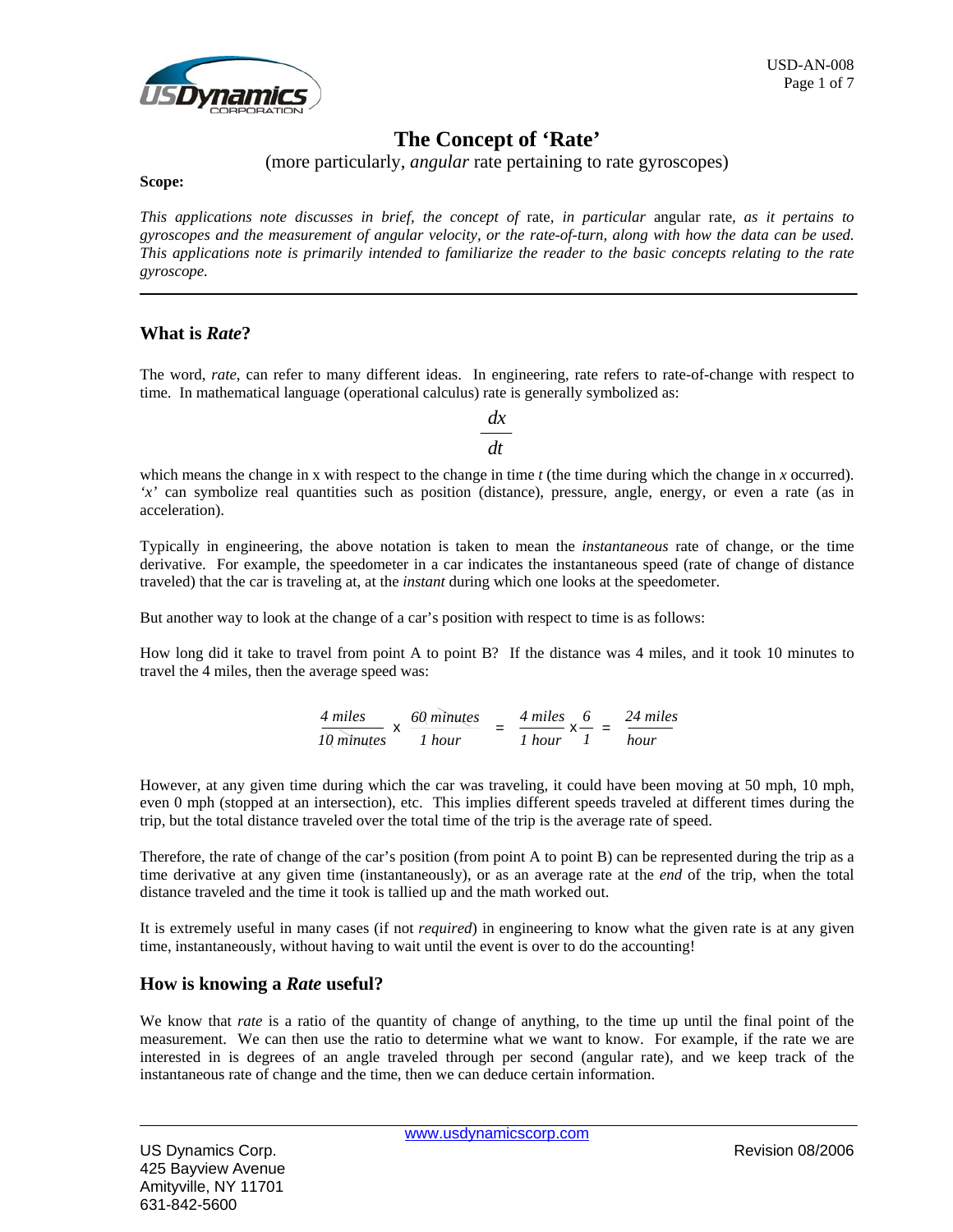

# **The Concept of 'Rate'**

# (more particularly, *angular* rate pertaining to rate gyroscopes)

**Scope:** 

*This applications note discusses in brief, the concept of* rate*, in particular* angular rate*, as it pertains to gyroscopes and the measurement of angular velocity, or the rate-of-turn, along with how the data can be used. This applications note is primarily intended to familiarize the reader to the basic concepts relating to the rate gyroscope.* 

# **What is** *Rate***?**

The word, *rate*, can refer to many different ideas. In engineering, rate refers to rate-of-change with respect to time. In mathematical language (operational calculus) rate is generally symbolized as:

> *dx dt*

which means the change in *x* with respect to the change in time *t* (the time during which the change in *x* occurred). *'x'* can symbolize real quantities such as position (distance), pressure, angle, energy, or even a rate (as in acceleration).

Typically in engineering, the above notation is taken to mean the *instantaneous* rate of change, or the time derivative. For example, the speedometer in a car indicates the instantaneous speed (rate of change of distance traveled) that the car is traveling at, at the *instant* during which one looks at the speedometer.

But another way to look at the change of a car's position with respect to time is as follows:

How long did it take to travel from point A to point B? If the distance was 4 miles, and it took 10 minutes to travel the 4 miles, then the average speed was:

$$
\frac{4 \text{ miles}}{10 \text{ minutes}} \times \frac{60 \text{ minutes}}{1 \text{ hour}} = \frac{4 \text{ miles}}{1 \text{ hour}} \times \frac{6}{1} = \frac{24 \text{ miles}}{hour}
$$

However, at any given time during which the car was traveling, it could have been moving at 50 mph, 10 mph, even 0 mph (stopped at an intersection), etc. This implies different speeds traveled at different times during the trip, but the total distance traveled over the total time of the trip is the average rate of speed.

Therefore, the rate of change of the car's position (from point A to point B) can be represented during the trip as a time derivative at any given time (instantaneously), or as an average rate at the *end* of the trip, when the total distance traveled and the time it took is tallied up and the math worked out.

It is extremely useful in many cases (if not *required*) in engineering to know what the given rate is at any given time, instantaneously, without having to wait until the event is over to do the accounting!

### **How is knowing a** *Rate* **useful?**

We know that *rate* is a ratio of the quantity of change of anything, to the time up until the final point of the measurement. We can then use the ratio to determine what we want to know. For example, if the rate we are interested in is degrees of an angle traveled through per second (angular rate), and we keep track of the instantaneous rate of change and the time, then we can deduce certain information.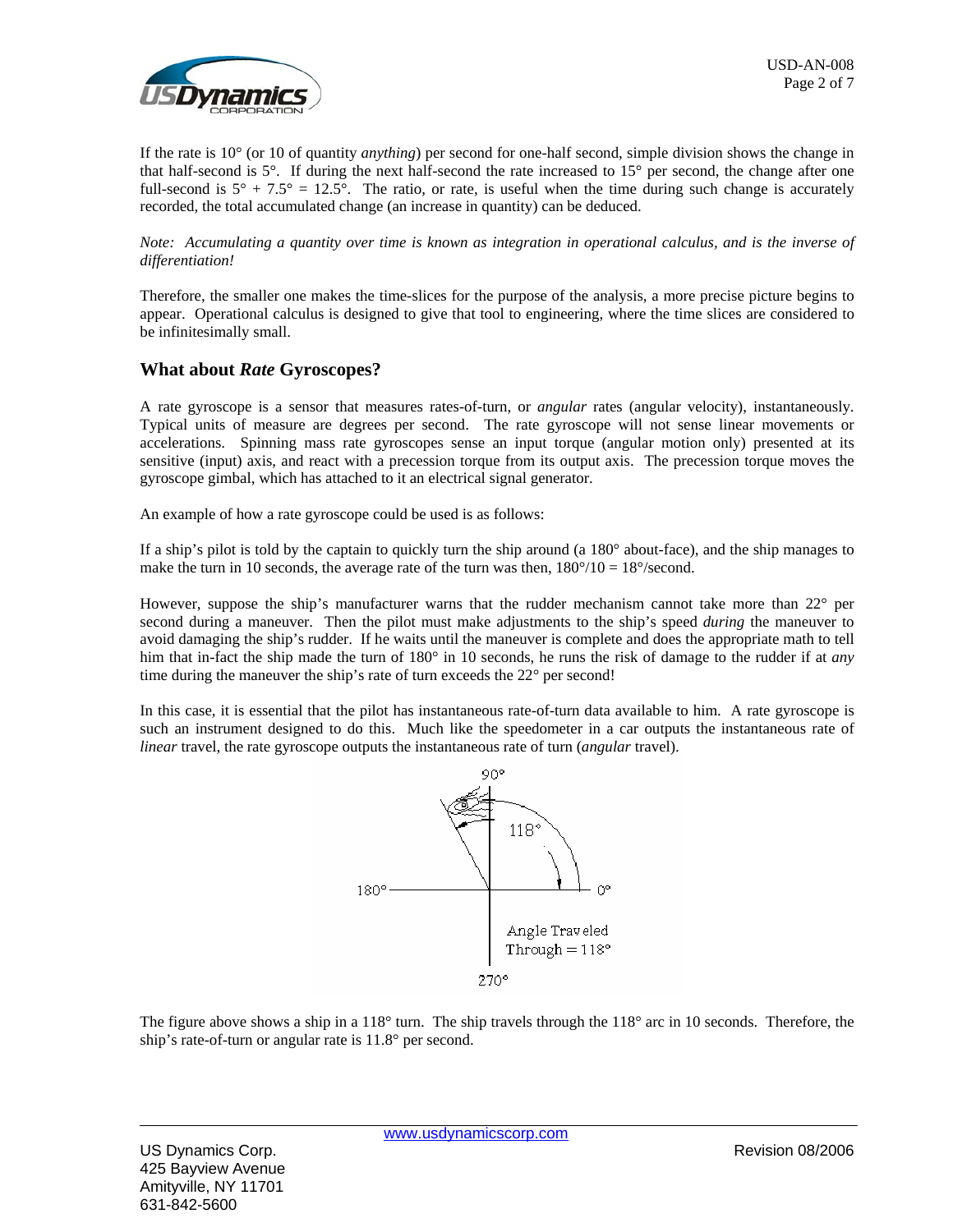

If the rate is 10° (or 10 of quantity *anything*) per second for one-half second, simple division shows the change in that half-second is 5°. If during the next half-second the rate increased to 15° per second, the change after one full-second is  $5^{\circ}$  + 7.5° = 12.5°. The ratio, or rate, is useful when the time during such change is accurately recorded, the total accumulated change (an increase in quantity) can be deduced.

*Note: Accumulating a quantity over time is known as integration in operational calculus, and is the inverse of differentiation!*

Therefore, the smaller one makes the time-slices for the purpose of the analysis, a more precise picture begins to appear. Operational calculus is designed to give that tool to engineering, where the time slices are considered to be infinitesimally small.

### **What about** *Rate* **Gyroscopes?**

A rate gyroscope is a sensor that measures rates-of-turn, or *angular* rates (angular velocity), instantaneously. Typical units of measure are degrees per second. The rate gyroscope will not sense linear movements or accelerations. Spinning mass rate gyroscopes sense an input torque (angular motion only) presented at its sensitive (input) axis, and react with a precession torque from its output axis. The precession torque moves the gyroscope gimbal, which has attached to it an electrical signal generator.

An example of how a rate gyroscope could be used is as follows:

If a ship's pilot is told by the captain to quickly turn the ship around (a 180° about-face), and the ship manages to make the turn in 10 seconds, the average rate of the turn was then,  $180^{\circ}/10 = 18^{\circ}/\text{second}$ .

However, suppose the ship's manufacturer warns that the rudder mechanism cannot take more than  $22^{\circ}$  per second during a maneuver. Then the pilot must make adjustments to the ship's speed *during* the maneuver to avoid damaging the ship's rudder. If he waits until the maneuver is complete and does the appropriate math to tell him that in-fact the ship made the turn of 180° in 10 seconds, he runs the risk of damage to the rudder if at *any* time during the maneuver the ship's rate of turn exceeds the 22° per second!

In this case, it is essential that the pilot has instantaneous rate-of-turn data available to him. A rate gyroscope is such an instrument designed to do this. Much like the speedometer in a car outputs the instantaneous rate of *linear* travel, the rate gyroscope outputs the instantaneous rate of turn (*angular* travel).



The figure above shows a ship in a 118 $^{\circ}$  turn. The ship travels through the 118 $^{\circ}$  arc in 10 seconds. Therefore, the ship's rate-of-turn or angular rate is 11.8° per second.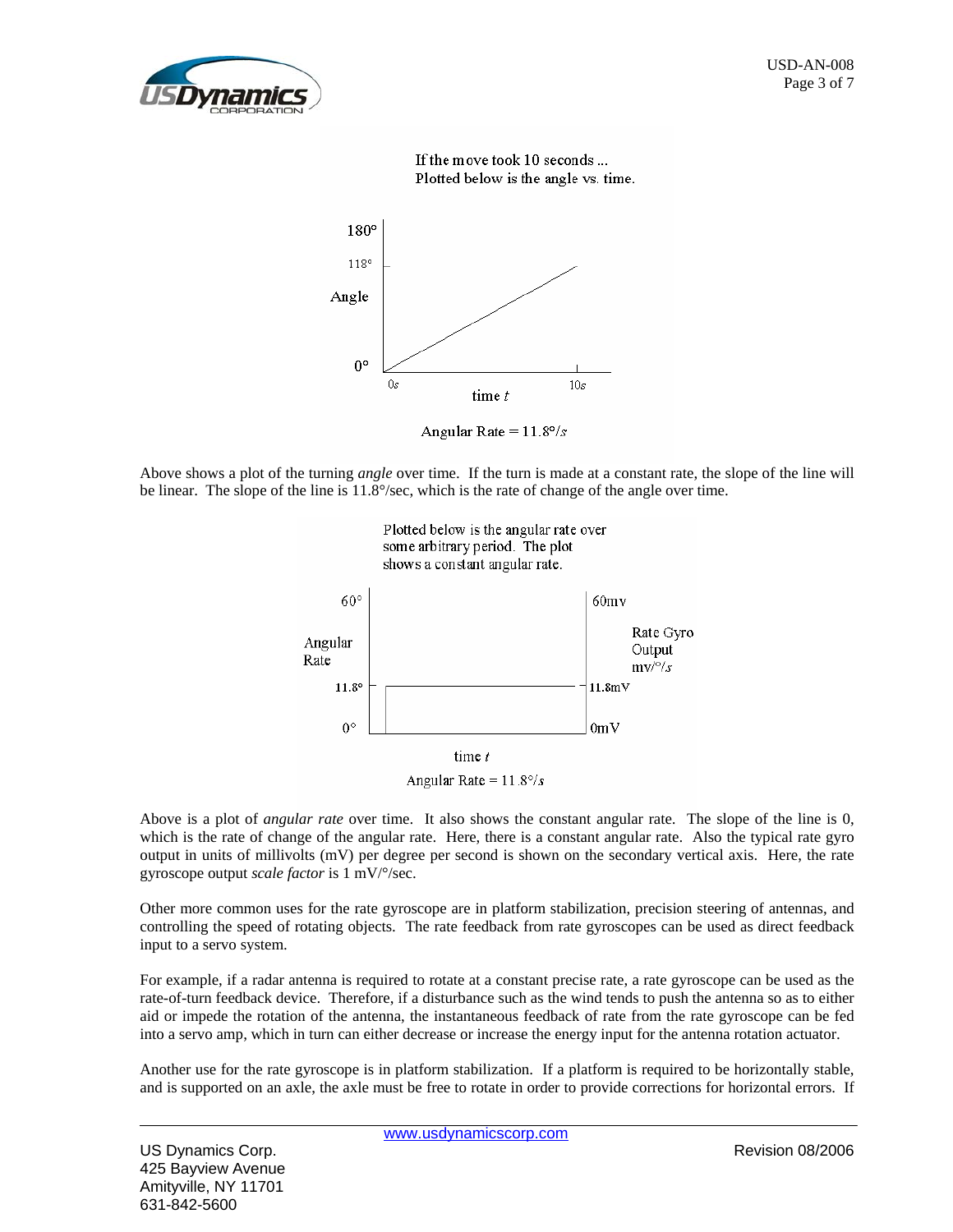

If the move took 10 seconds ... Plotted below is the angle vs. time.



Angular Rate =  $11.8^{\circ}/s$ 

Above shows a plot of the turning *angle* over time. If the turn is made at a constant rate, the slope of the line will be linear. The slope of the line is 11.8°/sec, which is the rate of change of the angle over time.



Above is a plot of *angular rate* over time. It also shows the constant angular rate. The slope of the line is 0, which is the rate of change of the angular rate. Here, there is a constant angular rate. Also the typical rate gyro output in units of millivolts (mV) per degree per second is shown on the secondary vertical axis. Here, the rate gyroscope output *scale factor* is 1 mV/°/sec.

Other more common uses for the rate gyroscope are in platform stabilization, precision steering of antennas, and controlling the speed of rotating objects. The rate feedback from rate gyroscopes can be used as direct feedback input to a servo system.

For example, if a radar antenna is required to rotate at a constant precise rate, a rate gyroscope can be used as the rate-of-turn feedback device. Therefore, if a disturbance such as the wind tends to push the antenna so as to either aid or impede the rotation of the antenna, the instantaneous feedback of rate from the rate gyroscope can be fed into a servo amp, which in turn can either decrease or increase the energy input for the antenna rotation actuator.

Another use for the rate gyroscope is in platform stabilization. If a platform is required to be horizontally stable, and is supported on an axle, the axle must be free to rotate in order to provide corrections for horizontal errors. If

US Dynamics Corp. Revision 08/2006 425 Bayview Avenue Amityville, NY 11701 631-842-5600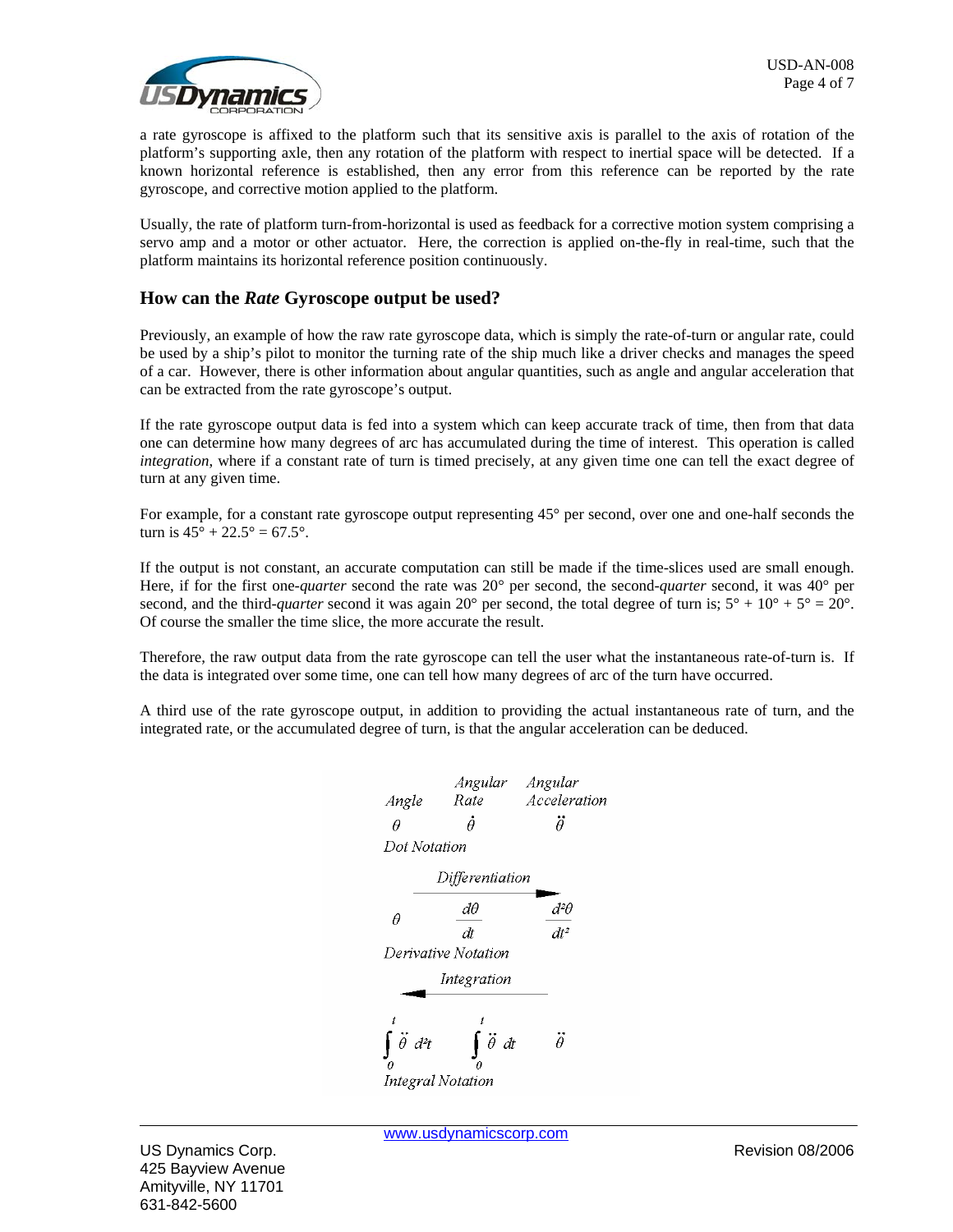

a rate gyroscope is affixed to the platform such that its sensitive axis is parallel to the axis of rotation of the platform's supporting axle, then any rotation of the platform with respect to inertial space will be detected. If a known horizontal reference is established, then any error from this reference can be reported by the rate gyroscope, and corrective motion applied to the platform.

Usually, the rate of platform turn-from-horizontal is used as feedback for a corrective motion system comprising a servo amp and a motor or other actuator. Here, the correction is applied on-the-fly in real-time, such that the platform maintains its horizontal reference position continuously.

# **How can the** *Rate* **Gyroscope output be used?**

Previously, an example of how the raw rate gyroscope data, which is simply the rate-of-turn or angular rate, could be used by a ship's pilot to monitor the turning rate of the ship much like a driver checks and manages the speed of a car. However, there is other information about angular quantities, such as angle and angular acceleration that can be extracted from the rate gyroscope's output.

If the rate gyroscope output data is fed into a system which can keep accurate track of time, then from that data one can determine how many degrees of arc has accumulated during the time of interest. This operation is called *integration*, where if a constant rate of turn is timed precisely, at any given time one can tell the exact degree of turn at any given time.

For example, for a constant rate gyroscope output representing  $45^{\circ}$  per second, over one and one-half seconds the turn is  $45^{\circ} + 22.5^{\circ} = 67.5^{\circ}$ .

If the output is not constant, an accurate computation can still be made if the time-slices used are small enough. Here, if for the first one-*quarter* second the rate was 20° per second, the second-*quarter* second, it was 40° per second, and the third-*quarter* second it was again 20° per second, the total degree of turn is;  $5^{\circ} + 10^{\circ} + 5^{\circ} = 20^{\circ}$ . Of course the smaller the time slice, the more accurate the result.

Therefore, the raw output data from the rate gyroscope can tell the user what the instantaneous rate-of-turn is. If the data is integrated over some time, one can tell how many degrees of arc of the turn have occurred.

A third use of the rate gyroscope output, in addition to providing the actual instantaneous rate of turn, and the integrated rate, or the accumulated degree of turn, is that the angular acceleration can be deduced.

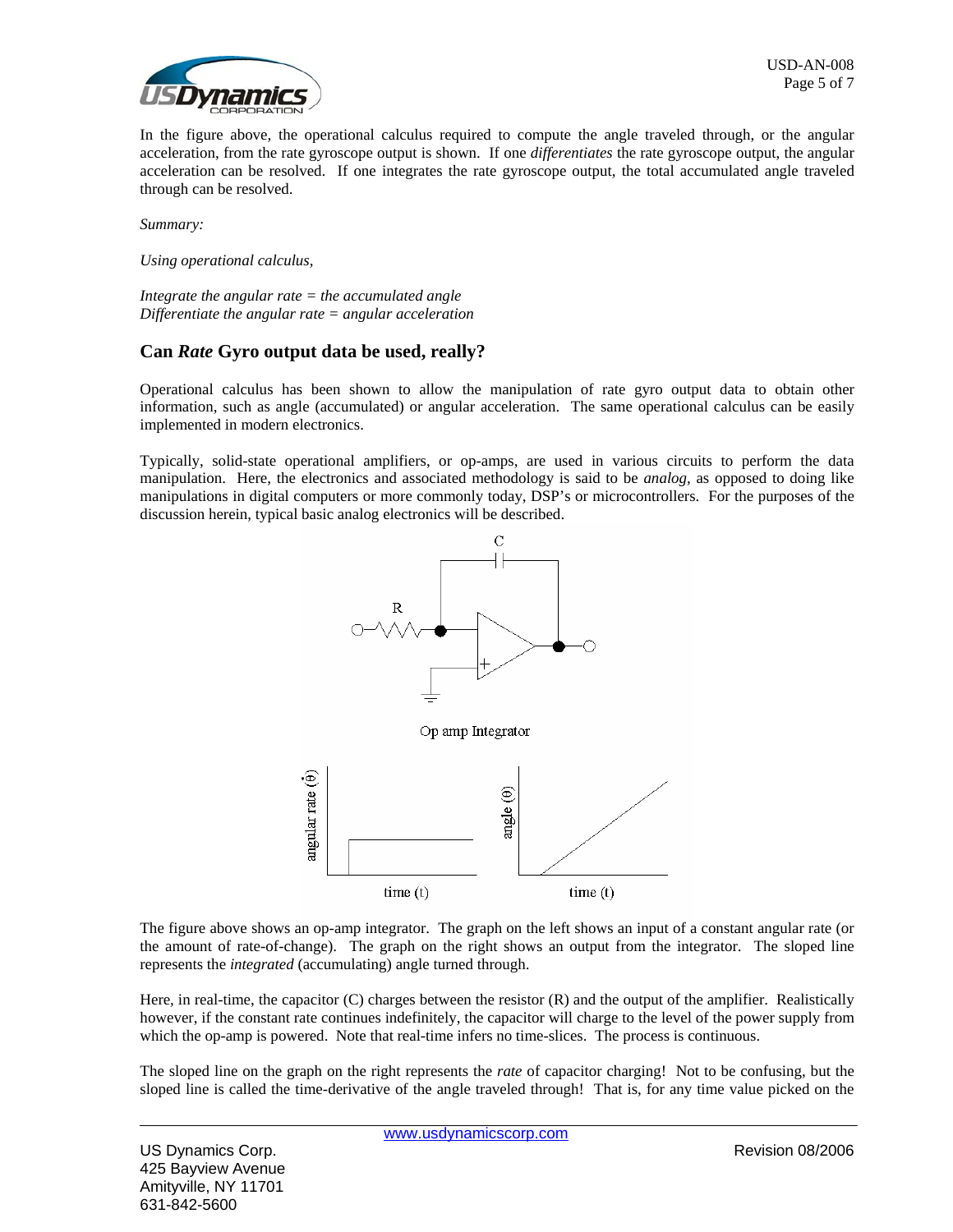

In the figure above, the operational calculus required to compute the angle traveled through, or the angular acceleration, from the rate gyroscope output is shown. If one *differentiates* the rate gyroscope output, the angular acceleration can be resolved. If one integrates the rate gyroscope output, the total accumulated angle traveled through can be resolved.

*Summary:*

*Using operational calculus,* 

*Integrate the angular rate = the accumulated angle Differentiate the angular rate = angular acceleration*

### **Can** *Rate* **Gyro output data be used, really?**

Operational calculus has been shown to allow the manipulation of rate gyro output data to obtain other information, such as angle (accumulated) or angular acceleration. The same operational calculus can be easily implemented in modern electronics.

Typically, solid-state operational amplifiers, or op-amps, are used in various circuits to perform the data manipulation. Here, the electronics and associated methodology is said to be *analog*, as opposed to doing like manipulations in digital computers or more commonly today, DSP's or microcontrollers. For the purposes of the discussion herein, typical basic analog electronics will be described.



The figure above shows an op-amp integrator. The graph on the left shows an input of a constant angular rate (or the amount of rate-of-change). The graph on the right shows an output from the integrator. The sloped line represents the *integrated* (accumulating) angle turned through.

Here, in real-time, the capacitor (C) charges between the resistor (R) and the output of the amplifier. Realistically however, if the constant rate continues indefinitely, the capacitor will charge to the level of the power supply from which the op-amp is powered. Note that real-time infers no time-slices. The process is continuous.

The sloped line on the graph on the right represents the *rate* of capacitor charging! Not to be confusing, but the sloped line is called the time-derivative of the angle traveled through! That is, for any time value picked on the

US Dynamics Corp. Revision 08/2006 425 Bayview Avenue Amityville, NY 11701 631-842-5600

www.usdynamicscorp.com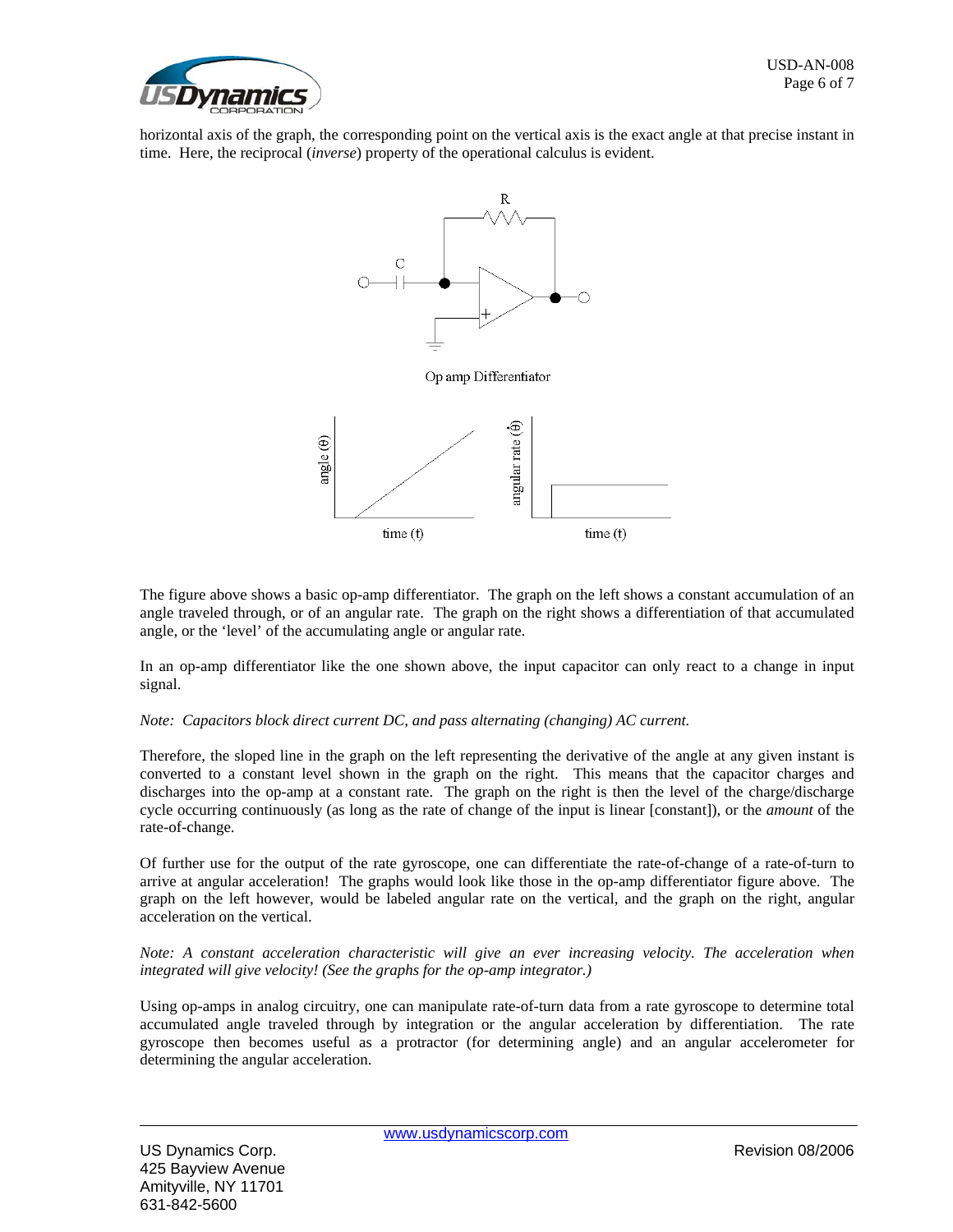

horizontal axis of the graph, the corresponding point on the vertical axis is the exact angle at that precise instant in time. Here, the reciprocal (*inverse*) property of the operational calculus is evident.



The figure above shows a basic op-amp differentiator. The graph on the left shows a constant accumulation of an angle traveled through, or of an angular rate. The graph on the right shows a differentiation of that accumulated angle, or the 'level' of the accumulating angle or angular rate.

In an op-amp differentiator like the one shown above, the input capacitor can only react to a change in input signal.

#### *Note: Capacitors block direct current DC, and pass alternating (changing) AC current.*

Therefore, the sloped line in the graph on the left representing the derivative of the angle at any given instant is converted to a constant level shown in the graph on the right. This means that the capacitor charges and discharges into the op-amp at a constant rate. The graph on the right is then the level of the charge/discharge cycle occurring continuously (as long as the rate of change of the input is linear [constant]), or the *amount* of the rate-of-change.

Of further use for the output of the rate gyroscope, one can differentiate the rate-of-change of a rate-of-turn to arrive at angular acceleration! The graphs would look like those in the op-amp differentiator figure above. The graph on the left however, would be labeled angular rate on the vertical, and the graph on the right, angular acceleration on the vertical.

*Note: A constant acceleration characteristic will give an ever increasing velocity. The acceleration when integrated will give velocity! (See the graphs for the op-amp integrator.)*

Using op-amps in analog circuitry, one can manipulate rate-of-turn data from a rate gyroscope to determine total accumulated angle traveled through by integration or the angular acceleration by differentiation. The rate gyroscope then becomes useful as a protractor (for determining angle) and an angular accelerometer for determining the angular acceleration.